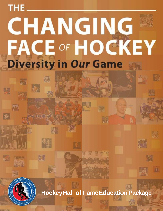## THE. CHANGING **FACE OF HOCKEY Diversity in Our Game**



 $\overline{\mathcal{S}}$ 

愉

**HockeyHall of FameEducation Package**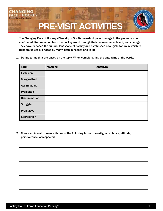

The Changing Face of Hockey - Diversity in *Our* Game exhibit pays homage to the pioneers who confronted discrimination from the hockey world through their perseverance, talent, and courage. They have enriched the cultural landscape of hockey and established a tangible forum in which to fight prejudices still faced by many, both in hockey and in life.

1. Define terms that are based on the topic. When complete, find the antonyms of the words.

| Term:                 | <b>Meaning:</b> | Antonym: |
|-----------------------|-----------------|----------|
| <b>Exclusion</b>      |                 |          |
| Marginalized          |                 |          |
| <b>Assimilating</b>   |                 |          |
| <b>Prohibited</b>     |                 |          |
| <b>Discrimination</b> |                 |          |
| <b>Struggle</b>       |                 |          |
| <b>Prejudices</b>     |                 |          |
| Segregation           |                 |          |

2. Create an Acrostic poem with one of the following terms: diversity, acceptance, attitude, perseverance, or respected.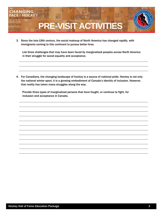

3. Since the late-19th century, the social makeup of North America has changed rapidly, with immigrants coming to this continent to pursue better lives.

List three challenges that may have been faced by marginalized peoples across North America in their struggle for social equality and acceptance.

4. For Canadians, the changing landscape of hockey is a source of national pride. Hockey is not only the national winter sport, it is a growing embodiment of Canada's identity of inclusion. However, that reality has taken many struggles along the way.

Provide three types of marginalized persons that have fought, or continue to fight, for inclusion and acceptance in Canada.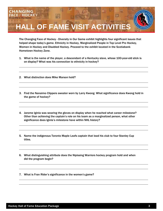

The Changing Face of Hockey - Diversity in Our Game exhibit highlights four significant issues that helped shape today's game. Ethnicity in Hockey, Marginalized People in Top Level Pro Hockey, Women in Hockey and Disabled Hockey. Proceed to the exhibit located in the Scotiabank Hometown Hockey Zone.

- 1. What is the name of the player, a descendant of a Kentucky slave, whose 100-year-old stick is on display? What was his connection to ethnicity in hockey?
- 2. What distinction does Mike Marson hold?
- 3. Find the Nanaimo Clippers sweater worn by Larry Kwong. What significance does Kwong hold in the game of hockey?
- 4. Jarome Iginla was wearing the gloves on display when he reached what career milestone? Other than achieving the captain's role on his team as a marginalized person, what other significance does Iginla's milestone have within NHL history?
- 5. Name the indigenous Toronto Maple Leafs captain that lead his club to four Stanley Cup titles.
- 6. What distinguishing attribute does the Nipissing Warriors hockey program hold and when did the program begin?

7. What is Fran Rider's significance in the women's game?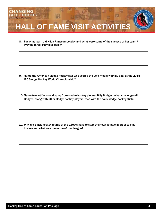

8. For what team did Hilda Ranscombe play and what were some of the success of her team? Provide three examples below.

- 9. Name the American sledge hockey star who scored the gold medal-winning goal at the 2015 IPC Sledge Hockey World Championship?
- 10. Name two artifacts on display from sledge hockey pioneer Billy Bridges. What challenges did Bridges, along with other sledge hockey players, face with the early sledge hockey stick?

11. Why did Black hockey teams of the 1890's have to start their own league in order to play hockey and what was the name of that league?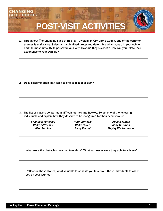

1. Throughout The Changing Face of Hockey - Diversity in *Our* Game exhibit, one of the common themes is *endurance.* Select a marginalized group and determine which group in your opinion had the most difficulty to persevere and why. How did they succeed? How can you relate their experience to your own life?

2. Does discrimination limit itself to one aspect of society?

3. The list of players below had a difficult journey into hockey. Select one of the following individuals and explain how they deserve to be recognized for their perseverance.

*Fred Sasakamoose Herb Carnegie Angela James*

*Willie Littlechild Willie O'Ree Abby Hoffman Alec Antoine Larry Kwong Hayley Wickenheiser*

What were the obstacles they had to endure? What successes were they able to achieve?

Reflect on these stories; what valuable lessons do you take from these individuals to assist you on your journey?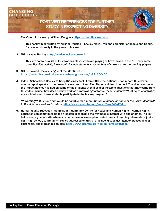

1. The Color of Hockey by: William Douglas - <https://colorofhockey.com/>

This hockey blog written by William Douglas – hockey player, fan and chronicler of people and trends, focuses on diversity in the game of hockey.

2. NHL - Native Hockey - <http://nativehockey.com/nhl/>

This site contains a list of First Nations players who are playing or have played in the NHL over some time. *Possible activity ideas could include students creating bios of current or former hockey players.*

- 3. NHL Colored Hockey League of the Maritimes <https://www.nhl.com/kraken/news/the-original-sixes/c-321350450>
- 4. Video School Uses Hockey to Keep Kids in School From CBC's The National news report, this elevenminute report speaks to the power hockey has to keep First Nation children in school. The video centres on the impact hockey has had on some of the students at that school. Possible questions that may come from this video include: how does hockey work as a motivating factor for these students? What types of activities are avoided when these students participate in the hockey program?

*\*\*Warning\*\* this video clip would be suitable for a more mature audience as some of the issues dealt with in the video are serious in nature.* <https://www.youtube.com/watch?v=YP4E-rF3doU>

5. Human Rights Education - Source: John Humphrey Centre for Peace and Human Rights - Human Rights Education can sometimes be the first step in changing the way people interact with one another. The link below sends you to a site where you can access a lesson plan (varied levels of learning: elementary, junior high, high school, community). Topics addressed on this site include: disabilities, gender, peacebuilding, citizenship, and indigenous studies.<http://www.jhcentre.org/human-rights-education>